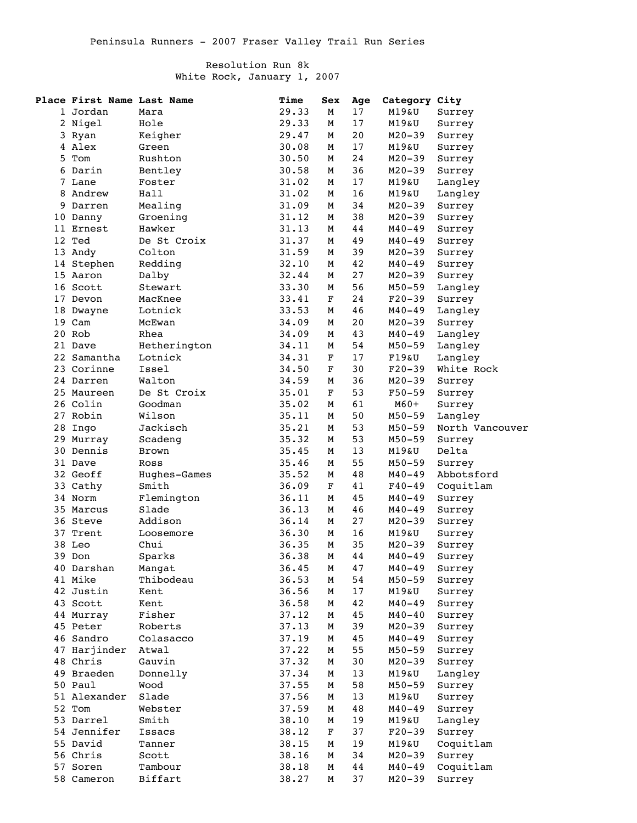## Resolution Run 8k White Rock, January 1, 2007

|   | Place First Name Last Name |                     | Time  | Sex         | Age | Category City  |                  |
|---|----------------------------|---------------------|-------|-------------|-----|----------------|------------------|
|   | 1 Jordan                   | Mara                | 29.33 | М           | 17  | M19&U          | Surrey           |
|   | 2 Nigel                    | Hole                | 29.33 | м           | 17  | M19&U          | Surrey           |
|   | 3 Ryan                     | Keigher             | 29.47 | М           | 20  | M20-39         | Surrey           |
|   | 4 Alex                     | Green               | 30.08 | М           | 17  | M19&U          | Surrey           |
| 5 | Tom                        | Rushton             | 30.50 | М           | 24  | $M20 - 39$     | Surrey           |
|   | 6 Darin                    | Bentley             | 30.58 | М           | 36  | $M20 - 39$     |                  |
|   | 7 Lane                     | Foster              |       |             | 17  |                | Surrey           |
|   |                            |                     | 31.02 | м           |     | M19&U<br>M19&U | Langley          |
| 8 | Andrew                     | Hall                | 31.02 | М           | 16  |                | Langley          |
| 9 | Darren                     | Mealing             | 31.09 | М           | 34  | $M20 - 39$     | Surrey           |
|   | 10 Danny                   | Groening            | 31.12 | м           | 38  | $M20 - 39$     | Surrey           |
|   | 11 Ernest                  | Hawker              | 31.13 | М           | 44  | M40-49         | Surrey           |
|   | 12 Ted                     | De St Croix         | 31.37 | М           | 49  | M40-49         | Surrey           |
|   | 13 Andy                    | Colton              | 31.59 | М           | 39  | $M20 - 39$     | Surrey           |
|   | 14 Stephen                 | Redding             | 32.10 | М           | 42  | M40-49         | Surrey           |
|   | 15 Aaron                   | Dalby               | 32.44 | М           | 27  | $M20 - 39$     | Surrey           |
|   | 16 Scott                   | Stewart             | 33.30 | М           | 56  | M50-59         | Langley          |
|   | 17 Devon                   | MacKnee             | 33.41 | F           | 24  | $F20-39$       | Surrey           |
|   | 18 Dwayne                  | Lotnick             | 33.53 | м           | 46  | M40-49         | Langley          |
|   | 19 Cam                     | McEwan              | 34.09 | М           | 20  | $M20 - 39$     | Surrey           |
|   | 20 Rob                     | Rhea                | 34.09 | М           | 43  | M40-49         | Langley          |
|   | 21 Dave                    | Hetherington        | 34.11 | М           | 54  | $M50 - 59$     | Langley          |
|   | 22 Samantha                | Lotnick             | 34.31 | F           | 17  | $F19\&U$       | Langley          |
|   | 23 Corinne                 | Issel               | 34.50 | F           | 30  | $F20 - 39$     | White Rock       |
|   | 24 Darren                  | Walton              | 34.59 | М           | 36  | $M20 - 39$     | Surrey           |
|   | 25 Maureen                 | De St Croix         | 35.01 | F           | 53  | $F50 - 59$     | Surrey           |
|   | 26 Colin                   | Goodman             | 35.02 | М           | 61  | $M60+$         | Surrey           |
|   | 27 Robin                   | Wilson              | 35.11 | М           | 50  | $M50 - 59$     | Langley          |
|   | 28 Ingo                    | Jackisch            | 35.21 | М           | 53  | $M50 - 59$     | North Vancouver  |
|   | 29 Murray                  | Scadeng             | 35.32 | М           | 53  | $M50 - 59$     | Surrey           |
|   | 30 Dennis                  | <b>Brown</b>        | 35.45 | М           | 13  | M19&U          | Delta            |
|   | 31 Dave                    | Ross                | 35.46 | М           | 55  | $M50 - 59$     | Surrey           |
|   | 32 Geoff                   | Hughes-Games        | 35.52 | М           | 48  | $M40 - 49$     | Abbotsford       |
|   | 33 Cathy                   | Smith               | 36.09 | F           | 41  | $F40 - 49$     | Coquitlam        |
|   | 34 Norm                    | Flemington          | 36.11 | М           | 45  | M40-49         | Surrey           |
|   | 35 Marcus                  | Slade               | 36.13 | м           | 46  | $M40 - 49$     | Surrey           |
|   | 36 Steve                   | Addison             | 36.14 | м           | 27  | $M20 - 39$     | Surrey           |
|   | 37 Trent                   | Loosemore           | 36.30 | М           | 16  | M19&U          |                  |
|   | 38 Leo                     | Chui                | 36.35 | М           | 35  | $M20 - 39$     | Surrey<br>Surrey |
|   |                            |                     | 36.38 | M           | 44  |                | Surrey           |
|   | 39 Don                     | Sparks              |       |             |     | $M40 - 49$     |                  |
|   | 40 Darshan                 | Mangat<br>Thibodeau | 36.45 | м           | 47  | M40-49         | Surrey           |
|   | 41 Mike                    |                     | 36.53 | М           | 54  | M50-59         | Surrey           |
|   | 42 Justin                  | Kent                | 36.56 | М           | 17  | M19&U          | Surrey           |
|   | 43 Scott                   | Kent                | 36.58 | М           | 42  | $M40 - 49$     | Surrey           |
|   | 44 Murray                  | Fisher              | 37.12 | М           | 45  | $M40 - 40$     | Surrey           |
|   | 45 Peter                   | Roberts             | 37.13 | М           | 39  | $M20 - 39$     | Surrey           |
|   | 46 Sandro                  | Colasacco           | 37.19 | М           | 45  | $M40 - 49$     | Surrey           |
|   | 47 Harjinder               | Atwal               | 37.22 | М           | 55  | M50-59         | Surrey           |
|   | 48 Chris                   | Gauvin              | 37.32 | М           | 30  | $M20 - 39$     | Surrey           |
|   | 49 Braeden                 | Donnelly            | 37.34 | М           | 13  | M19&U          | Langley          |
|   | 50 Paul                    | Wood                | 37.55 | М           | 58  | M50-59         | Surrey           |
|   | 51 Alexander               | Slade               | 37.56 | М           | 13  | M19&U          | Surrey           |
|   | 52 Tom                     | Webster             | 37.59 | М           | 48  | $M40 - 49$     | Surrey           |
|   | 53 Darrel                  | Smith               | 38.10 | М           | 19  | M19&U          | Langley          |
|   | 54 Jennifer                | Issacs              | 38.12 | $\mathbf F$ | 37  | $F20-39$       | Surrey           |
|   | 55 David                   | Tanner              | 38.15 | М           | 19  | M19&U          | Coquitlam        |
|   | 56 Chris                   | Scott               | 38.16 | М           | 34  | $M20 - 39$     | Surrey           |
|   | 57 Soren                   | Tambour             | 38.18 | М           | 44  | M40-49         | Coquitlam        |
|   | 58 Cameron                 | Biffart             | 38.27 | М           | 37  | $M20 - 39$     | Surrey           |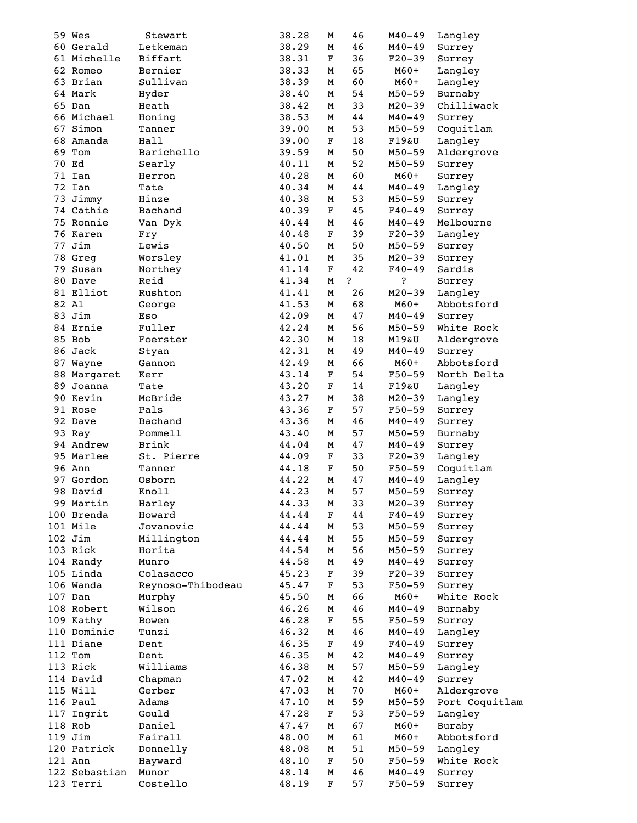|    | 59 Wes        | Stewart           | 38.28 | М           | 46 | $M40 - 49$ | Langley        |
|----|---------------|-------------------|-------|-------------|----|------------|----------------|
|    | 60 Gerald     | Letkeman          | 38.29 | М           | 46 | $M40 - 49$ | Surrey         |
|    | 61 Michelle   | Biffart           | 38.31 | F           | 36 | $F20-39$   | Surrey         |
|    | 62 Romeo      | Bernier           | 38.33 | М           | 65 | $M60+$     | Langley        |
|    |               |                   |       |             |    |            |                |
|    | 63 Brian      | Sullivan          | 38.39 | М           | 60 | $M60+$     | Langley        |
|    | 64 Mark       | Hyder             | 38.40 | М           | 54 | $M50 - 59$ | Burnaby        |
|    | 65 Dan        | Heath             | 38.42 | М           | 33 | $M20 - 39$ | Chilliwack     |
|    | 66 Michael    | Honing            | 38.53 | М           | 44 | $M40 - 49$ | Surrey         |
|    | 67 Simon      | Tanner            | 39.00 | М           | 53 | $M50 - 59$ | Coquitlam      |
|    | 68 Amanda     | Hall              | 39.00 | $\mathbf F$ | 18 | $F19\&U$   | Langley        |
| 69 | Tom           | Barichello        | 39.59 | М           | 50 | $M50 - 59$ | Aldergrove     |
|    | 70 Ed         | Searly            | 40.11 | М           | 52 | $M50 - 59$ | Surrey         |
|    | 71 Ian        | Herron            | 40.28 | м           | 60 | $M60+$     | Surrey         |
|    | 72 Ian        | Tate              | 40.34 | М           | 44 | $M40 - 49$ | Langley        |
|    | 73 Jimmy      | Hinze             | 40.38 | М           | 53 | M50-59     | Surrey         |
|    | 74 Cathie     | Bachand           | 40.39 | F           | 45 | $F40 - 49$ |                |
|    | 75 Ronnie     |                   |       |             |    |            | Surrey         |
|    |               | Van Dyk           | 40.44 | м           | 46 | $M40 - 49$ | Melbourne      |
|    | 76 Karen      | Fry               | 40.48 | $\mathbf F$ | 39 | $F20-39$   | Langley        |
|    | 77 Jim        | Lewis             | 40.50 | М           | 50 | M50-59     | Surrey         |
|    | 78 Greg       | Worsley           | 41.01 | М           | 35 | $M20 - 39$ | Surrey         |
| 79 | Susan         | Northey           | 41.14 | F           | 42 | $F40 - 49$ | Sardis         |
|    | 80 Dave       | Reid              | 41.34 | М           | ،? | ?          | Surrey         |
|    | 81 Elliot     | Rushton           | 41.41 | М           | 26 | $M20 - 39$ | Langley        |
|    | 82 Al         | George            | 41.53 | М           | 68 | $M60+$     | Abbotsford     |
|    | 83 Jim        | Eso               | 42.09 | М           | 47 | M40-49     | Surrey         |
|    | 84 Ernie      | Fuller            | 42.24 | М           | 56 | M50-59     | White Rock     |
|    | 85 Bob        | Foerster          | 42.30 | М           | 18 | M19&U      | Aldergrove     |
|    | 86 Jack       |                   | 42.31 | М           | 49 | $M40 - 49$ | Surrey         |
|    |               | Styan             |       |             |    |            |                |
| 87 | Wayne         | Gannon            | 42.49 | м           | 66 | $M60+$     | Abbotsford     |
|    | 88 Margaret   | Kerr              | 43.14 | F           | 54 | F50-59     | North Delta    |
|    | 89 Joanna     | Tate              | 43.20 | F           | 14 | F19&U      | Langley        |
|    | 90 Kevin      | McBride           | 43.27 | М           | 38 | $M20 - 39$ | Langley        |
|    | 91 Rose       | Pals              | 43.36 | F           | 57 | $F50 - 59$ | Surrey         |
|    | 92 Dave       | Bachand           | 43.36 | М           | 46 | $M40 - 49$ | Surrey         |
|    | 93 Ray        | Pommell           | 43.40 | М           | 57 | $M50 - 59$ | Burnaby        |
|    | 94 Andrew     | Brink             | 44.04 | М           | 47 | $M40 - 49$ | Surrey         |
|    | 95 Marlee     | St. Pierre        | 44.09 | F           | 33 | $F20-39$   | Langley        |
|    | 96 Ann        | Tanner            | 44.18 | F           | 50 | $F50 - 59$ | Coquitlam      |
|    | 97 Gordon     | Osborn            | 44.22 | М           | 47 | $M40 - 49$ | Langley        |
|    | 98 David      | Knoll             | 44.23 | М           | 57 | $M50 - 59$ |                |
|    |               |                   |       |             |    |            | Surrey         |
|    | 99 Martin     | Harley            | 44.33 | М           | 33 | $M20 - 39$ | Surrey         |
|    | 100 Brenda    | Howard            | 44.44 | F           | 44 | $F40 - 49$ | Surrey         |
|    | 101 Mile      | Jovanovic         | 44.44 | м           | 53 | $M50 - 59$ | Surrey         |
|    | $102$ Jim     | Millington        | 44.44 | М           | 55 | $M50 - 59$ | Surrey         |
|    | 103 Rick      | Horita            | 44.54 | М           | 56 | $M50 - 59$ | Surrey         |
|    | 104 Randy     | Munro             | 44.58 | М           | 49 | $M40 - 49$ | Surrey         |
|    | 105 Linda     | Colasacco         | 45.23 | F           | 39 | $F20-39$   | Surrey         |
|    | 106 Wanda     | Reynoso-Thibodeau | 45.47 | $\mathbf F$ | 53 | $F50 - 59$ | Surrey         |
|    | 107 Dan       | Murphy            | 45.50 | М           | 66 | $M60+$     | White Rock     |
|    | 108 Robert    | Wilson            | 46.26 | М           | 46 | $M40 - 49$ | Burnaby        |
|    | 109 Kathy     | Bowen             | 46.28 | F           | 55 | $F50 - 59$ | Surrey         |
|    | 110 Dominic   | Tunzi             | 46.32 | М           | 46 | $M40 - 49$ | Langley        |
|    | 111 Diane     |                   |       |             |    |            |                |
|    |               | Dent              | 46.35 | F           | 49 | $F40 - 49$ | Surrey         |
|    | 112 Tom       | Dent              | 46.35 | М           | 42 | $M40 - 49$ | Surrey         |
|    | 113 Rick      | Williams          | 46.38 | М           | 57 | $M50 - 59$ | Langley        |
|    | 114 David     | Chapman           | 47.02 | М           | 42 | $M40 - 49$ | Surrey         |
|    | 115 Will      | Gerber            | 47.03 | м           | 70 | $M60+$     | Aldergrove     |
|    | 116 Paul      | Adams             | 47.10 | М           | 59 | $M50 - 59$ | Port Coquitlam |
|    | 117 Ingrit    | Gould             | 47.28 | F           | 53 | $F50 - 59$ | Langley        |
|    | 118 Rob       | Daniel            | 47.47 | М           | 67 | $M60+$     | Buraby         |
|    | $119$ Jim     | Fairall           | 48.00 | М           | 61 | $M60+$     | Abbotsford     |
|    | 120 Patrick   | Donnelly          | 48.08 | М           | 51 | M50-59     | Langley        |
|    | 121 Ann       | Hayward           | 48.10 | F           | 50 | F50-59     | White Rock     |
|    | 122 Sebastian | Munor             | 48.14 | М           | 46 | $M40 - 49$ | Surrey         |
|    |               |                   |       | F           | 57 |            |                |
|    | 123 Terri     | Costello          | 48.19 |             |    | $F50 - 59$ | Surrey         |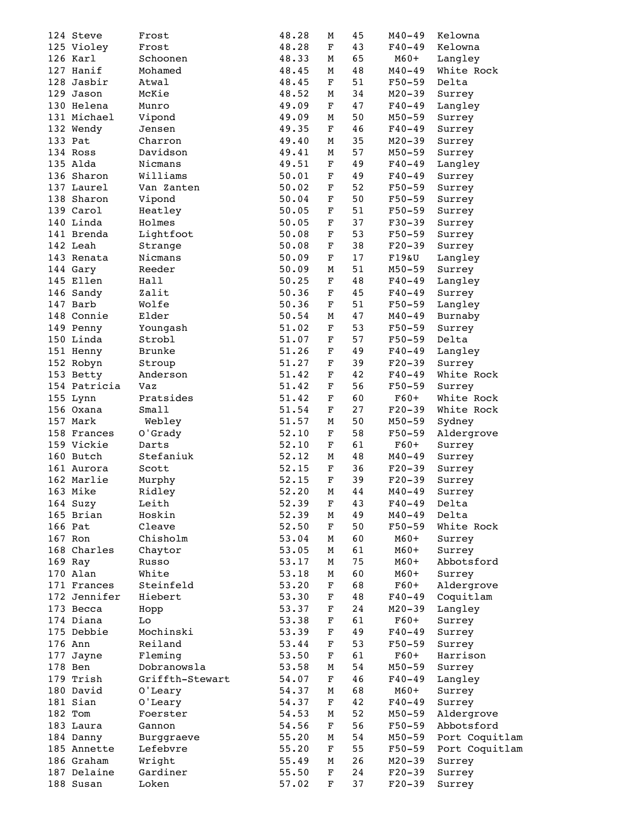|  | 124 Steve    | Frost           | 48.28 | М           | 45     | $M40 - 49$ | Kelowna        |
|--|--------------|-----------------|-------|-------------|--------|------------|----------------|
|  | 125 Violey   | Frost           | 48.28 | F           | 43     | $F40 - 49$ | Kelowna        |
|  | 126 Karl     | Schoonen        | 48.33 | М           | 65     | $M60+$     | Langley        |
|  | 127 Hanif    | Mohamed         | 48.45 | м           | 48     | $M40 - 49$ | White Rock     |
|  | 128 Jasbir   | Atwal           | 48.45 | F           | 51     | F50-59     | Delta          |
|  | 129 Jason    | McKie           | 48.52 | М           | 34     | $M20 - 39$ | Surrey         |
|  | 130 Helena   | Munro           | 49.09 | F           | 47     | $F40 - 49$ | Langley        |
|  | 131 Michael  | Vipond          | 49.09 | М           | 50     | M50-59     | Surrey         |
|  | 132 Wendy    | Jensen          | 49.35 | F           | 46     | $F40 - 49$ | Surrey         |
|  | 133 Pat      | Charron         | 49.40 | м           | 35     | $M20 - 39$ | Surrey         |
|  | 134 Ross     | Davidson        | 49.41 | М           | 57     | M50-59     | Surrey         |
|  | 135 Alda     | Nicmans         | 49.51 | F           | 49     | $F40 - 49$ |                |
|  | 136 Sharon   |                 |       |             |        |            | Langley        |
|  |              | Williams        | 50.01 | F           | 49     | $F40 - 49$ | Surrey         |
|  | 137 Laurel   | Van Zanten      | 50.02 | F           | 52     | $F50 - 59$ | Surrey         |
|  | 138 Sharon   | Vipond          | 50.04 | $\mathbf F$ | 50     | $F50 - 59$ | Surrey         |
|  | 139 Carol    | Heatley         | 50.05 | F           | 51     | $F50 - 59$ | Surrey         |
|  | 140 Linda    | Holmes          | 50.05 | $\mathbf F$ | 37     | $F30-39$   | Surrey         |
|  | 141 Brenda   | Lightfoot       | 50.08 | $\mathbf F$ | 53     | $F50 - 59$ | Surrey         |
|  | 142 Leah     | Strange         | 50.08 | $\mathbf F$ | 38     | $F20 - 39$ | Surrey         |
|  | 143 Renata   | Nicmans         | 50.09 | F           | $17\,$ | F19&U      | Langley        |
|  | 144 Gary     | Reeder          | 50.09 | М           | 51     | M50-59     | Surrey         |
|  | 145 Ellen    | Hall            | 50.25 | F           | 48     | $F40 - 49$ | Langley        |
|  | 146 Sandy    | Zalit           | 50.36 | F           | 45     | $F40 - 49$ | Surrey         |
|  | 147 Barb     | Wolfe           | 50.36 | $\mathbf F$ | 51     | F50-59     | Langley        |
|  | 148 Connie   | Elder           | 50.54 | М           | 47     | $M40 - 49$ | Burnaby        |
|  | 149 Penny    | Youngash        | 51.02 | F           | 53     | F50-59     | Surrey         |
|  | 150 Linda    | Strobl          | 51.07 | F           | 57     | $F50 - 59$ | Delta          |
|  | 151 Henny    | Brunke          | 51.26 | F           | 49     | $F40 - 49$ | Langley        |
|  | 152 Robyn    | Stroup          | 51.27 | F           | 39     | $F20 - 39$ | Surrey         |
|  | 153 Betty    | Anderson        | 51.42 | F           | 42     | $F40 - 49$ | White Rock     |
|  | 154 Patricia | Vaz             | 51.42 | $\mathbf F$ | 56     | $F50 - 59$ | Surrey         |
|  | 155 Lynn     | Pratsides       | 51.42 | $\mathbf F$ | 60     | $F60+$     | White Rock     |
|  | 156 Oxana    | Small           | 51.54 | $\mathbf F$ | 27     | $F20-39$   | White Rock     |
|  | 157 Mark     | Webley          | 51.57 | М           | 50     | M50-59     | Sydney         |
|  | 158 Frances  | O'Grady         | 52.10 | F           | 58     | $F50 - 59$ |                |
|  | 159 Vickie   | Darts           |       | F           |        |            | Aldergrove     |
|  |              | Stefaniuk       | 52.10 |             | 61     | $F60+$     | Surrey         |
|  | 160 Butch    |                 | 52.12 | м           | 48     | $M40 - 49$ | Surrey         |
|  | 161 Aurora   | Scott           | 52.15 | F           | 36     | $F20-39$   | Surrey         |
|  | 162 Marlie   | Murphy          | 52.15 | $\mathbf F$ | 39     | $F20-39$   | Surrey         |
|  | 163 Mike     | Ridley          | 52.20 | M           | 44     | $M40 - 49$ | Surrey         |
|  | 164 Suzy     | Leith           | 52.39 | F           | 43     | $F40 - 49$ | Delta          |
|  | 165 Brian    | Hoskin          | 52.39 | М           | 49     | $M40 - 49$ | Delta          |
|  | 166 Pat      | Cleave          | 52.50 | F           | 50     | $F50 - 59$ | White Rock     |
|  | 167 Ron      | Chisholm        | 53.04 | М           | 60     | $M60+$     | Surrey         |
|  | 168 Charles  | Chaytor         | 53.05 | м           | 61     | $M60+$     | Surrey         |
|  | 169 Ray      | Russo           | 53.17 | М           | 75     | $M60+$     | Abbotsford     |
|  | 170 Alan     | White           | 53.18 | М           | 60     | $M60+$     | Surrey         |
|  | 171 Frances  | Steinfeld       | 53.20 | F           | 68     | $F60+$     | Aldergrove     |
|  | 172 Jennifer | Hiebert         | 53.30 | F           | 48     | $F40 - 49$ | Coquitlam      |
|  | 173 Becca    | Hopp            | 53.37 | $\mathbf F$ | 24     | $M20 - 39$ | Langley        |
|  | 174 Diana    | Lo              | 53.38 | F           | 61     | $F60+$     | Surrey         |
|  | 175 Debbie   | Mochinski       | 53.39 | F           | 49     | $F40 - 49$ | Surrey         |
|  | 176 Ann      | Reiland         | 53.44 | F           | 53     | $F50 - 59$ | Surrey         |
|  | 177 Jayne    | Fleming         | 53.50 | F           | 61     | $F60+$     | Harrison       |
|  | 178 Ben      | Dobranowsla     | 53.58 | М           | 54     | M50-59     | Surrey         |
|  | 179 Trish    | Griffth-Stewart | 54.07 | F           | 46     | $F40 - 49$ | Langley        |
|  | 180 David    |                 | 54.37 | М           | 68     | $M60+$     |                |
|  |              | O'Leary         |       |             |        |            | Surrey         |
|  | 181 Sian     | O'Leary         | 54.37 | $\mathbf F$ | 42     | $F40 - 49$ | Surrey         |
|  | 182 Tom      | Foerster        | 54.53 | М           | 52     | M50-59     | Aldergrove     |
|  | 183 Laura    | Gannon          | 54.56 | F           | 56     | F50-59     | Abbotsford     |
|  | 184 Danny    | Burggraeve      | 55.20 | м           | 54     | $M50 - 59$ | Port Coquitlam |
|  | 185 Annette  | Lefebvre        | 55.20 | F           | 55     | F50-59     | Port Coquitlam |
|  | 186 Graham   | Wright          | 55.49 | М           | 26     | $M20 - 39$ | Surrey         |
|  | 187 Delaine  | Gardiner        | 55.50 | F           | 24     | $F20 - 39$ | Surrey         |
|  | 188 Susan    | Loken           | 57.02 | $\mathbf F$ | 37     | $F20-39$   | Surrey         |
|  |              |                 |       |             |        |            |                |